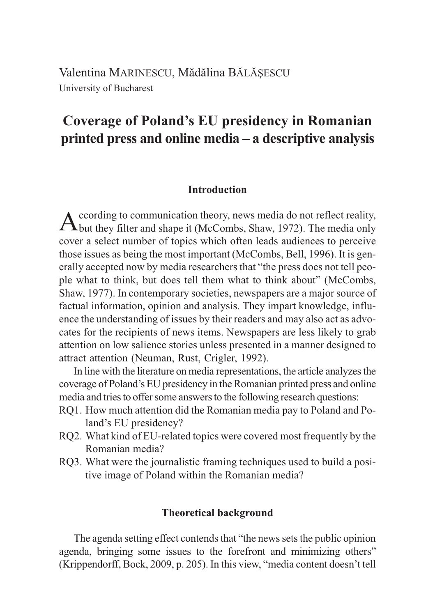Valentina MARINESCU, Mădălina BĂLĂȘESCU University of Bucharest

# **Coverage of Poland's EU presidency in Romanian printed press and online media – a descriptive analysis**

# **Introduction**

According to communication theory, news media do not reflect reality, but they filter and shape it (McCombs, Shaw, 1972). The media only cover a select number of topics which often leads audiences to perceive those issues as being the most important (McCombs, Bell, 1996). It is generally accepted now by media researchers that "the press does not tell people what to think, but does tell them what to think about" (McCombs, Shaw, 1977). In contemporary societies, newspapers are a major source of factual information, opinion and analysis. They impart knowledge, influence the understanding of issues by their readers and may also act as advocates for the recipients of news items. Newspapers are less likely to grab attention on low salience stories unless presented in a manner designed to attract attention (Neuman, Rust, Crigler, 1992).

In line with the literature on media representations, the article analyzes the coverage of Poland's EU presidency in the Romanian printed press and online media and tries to offer some answers to the following research questions:

- RQ1. How much attention did the Romanian media pay to Poland and Poland's EU presidency?
- RQ2. What kind of EU-related topics were covered most frequently by the Romanian media?
- RQ3. What were the journalistic framing techniques used to build a positive image of Poland within the Romanian media?

## **Theoretical background**

The agenda setting effect contends that "the news sets the public opinion agenda, bringing some issues to the forefront and minimizing others" (Krippendorff, Bock, 2009, p. 205). In this view, "media content doesn't tell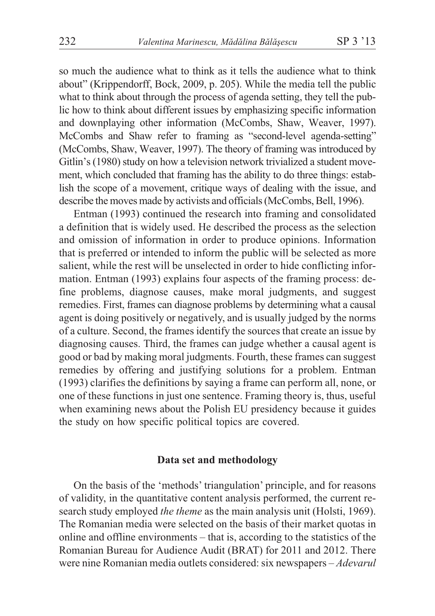so much the audience what to think as it tells the audience what to think about" (Krippendorff, Bock, 2009, p. 205). While the media tell the public what to think about through the process of agenda setting, they tell the public how to think about different issues by emphasizing specific information and downplaying other information (McCombs, Shaw, Weaver, 1997). McCombs and Shaw refer to framing as "second-level agenda-setting" (McCombs, Shaw, Weaver, 1997). The theory of framing was introduced by Gitlin's (1980) study on how a television network trivialized a student movement, which concluded that framing has the ability to do three things: establish the scope of a movement, critique ways of dealing with the issue, and describe the moves made by activists and officials (McCombs, Bell, 1996).

Entman (1993) continued the research into framing and consolidated a definition that is widely used. He described the process as the selection and omission of information in order to produce opinions. Information that is preferred or intended to inform the public will be selected as more salient, while the rest will be unselected in order to hide conflicting information. Entman (1993) explains four aspects of the framing process: define problems, diagnose causes, make moral judgments, and suggest remedies. First, frames can diagnose problems by determining what a causal agent is doing positively or negatively, and is usually judged by the norms of a culture. Second, the frames identify the sources that create an issue by diagnosing causes. Third, the frames can judge whether a causal agent is good or bad by making moral judgments. Fourth, these frames can suggest remedies by offering and justifying solutions for a problem. Entman (1993) clarifies the definitions by saying a frame can perform all, none, or one of these functions in just one sentence. Framing theory is, thus, useful when examining news about the Polish EU presidency because it guides the study on how specific political topics are covered.

#### **Data set and methodology**

On the basis of the 'methods' triangulation' principle, and for reasons of validity, in the quantitative content analysis performed, the current research study employed *the theme* as the main analysis unit (Holsti, 1969). The Romanian media were selected on the basis of their market quotas in online and offline environments – that is, according to the statistics of the Romanian Bureau for Audience Audit (BRAT) for 2011 and 2012. There were nine Romanian media outlets considered: six newspapers – *Adevarul*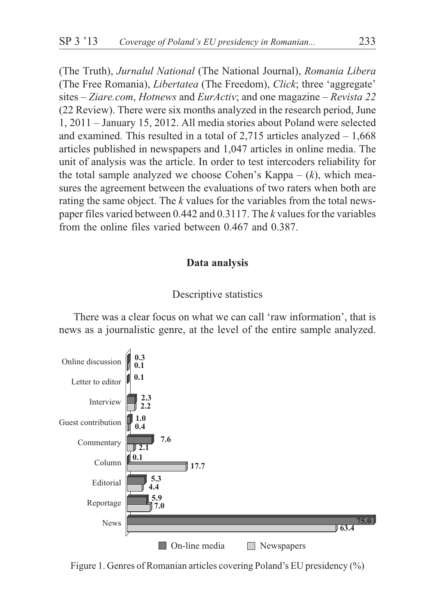(The Truth), *Jurnalul National* (The National Journal), *Romania Libera* (The Free Romania), *Libertatea* (The Freedom), *Click*; three 'aggregate' sites – *Ziare.com*, *Hotnews* and *EurActiv*; and one magazine – *Revista 22* (22 Review). There were six months analyzed in the research period, June 1, 2011 – January 15, 2012. All media stories about Poland were selected and examined. This resulted in a total of  $2,715$  articles analyzed  $-1,668$ articles published in newspapers and 1,047 articles in online media. The unit of analysis was the article. In order to test intercoders reliability for the total sample analyzed we choose Cohen's Kappa – (*k*), which measures the agreement between the evaluations of two raters when both are rating the same object. The *k* values for the variables from the total newspaper files varied between 0.442 and 0.3117. The *k* values for the variables from the online files varied between 0.467 and 0.387.

#### **Data analysis**

## Descriptive statistics

There was a clear focus on what we can call 'raw information', that is news as a journalistic genre, at the level of the entire sample analyzed.



Figure 1. Genres of Romanian articles covering Poland's EU presidency (%)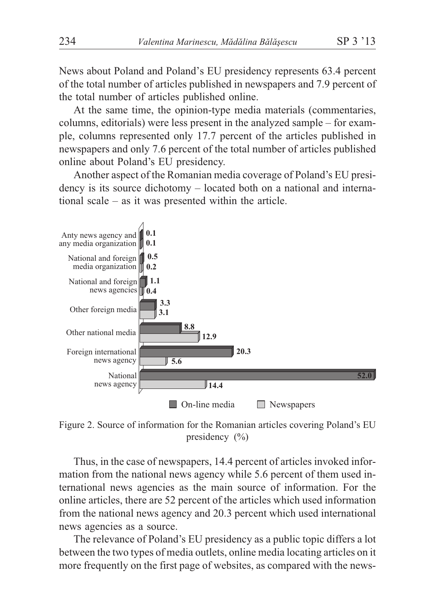News about Poland and Poland's EU presidency represents 63.4 percent of the total number of articles published in newspapers and 7.9 percent of the total number of articles published online.

At the same time, the opinion-type media materials (commentaries, columns, editorials) were less present in the analyzed sample – for example, columns represented only 17.7 percent of the articles published in newspapers and only 7.6 percent of the total number of articles published online about Poland's EU presidency.

Another aspect of the Romanian media coverage of Poland's EU presidency is its source dichotomy – located both on a national and international scale – as it was presented within the article.



Figure 2. Source of information for the Romanian articles covering Poland's EU presidency (%)

Thus, in the case of newspapers, 14.4 percent of articles invoked information from the national news agency while 5.6 percent of them used international news agencies as the main source of information. For the online articles, there are 52 percent of the articles which used information from the national news agency and 20.3 percent which used international news agencies as a source.

The relevance of Poland's EU presidency as a public topic differs a lot between the two types of media outlets, online media locating articles on it more frequently on the first page of websites, as compared with the news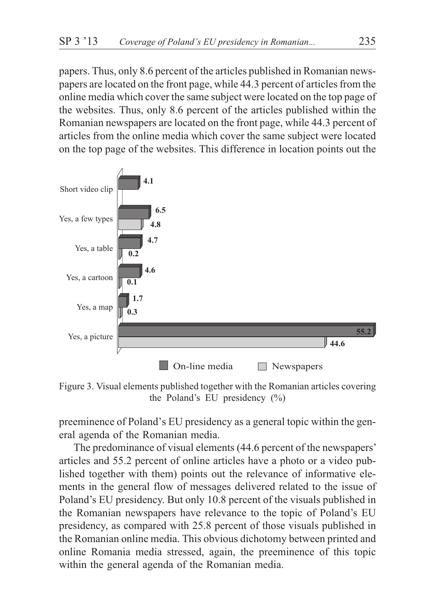papers. Thus, only 8.6 percent of the articles published in Romanian newspapers are located on the front page, while 44.3 percent of articles from the online media which cover the same subject were located on the top page of the websites. Thus, only 8.6 percent of the articles published within the Romanian newspapers are located on the front page, while 44.3 percent of articles from the online media which cover the same subject were located on the top page of the websites. This difference in location points out the



Figure 3. Visual elements published together with the Romanian articles covering the Poland's EU presidency (%)

preeminence of Poland's EU presidency as a general topic within the general agenda of the Romanian media.

The predominance of visual elements (44.6 percent of the newspapers' articles and 55.2 percent of online articles have a photo or a video published together with them) points out the relevance of informative elements in the general flow of messages delivered related to the issue of Poland's EU presidency. But only 10.8 percent of the visuals published in the Romanian newspapers have relevance to the topic of Poland's EU presidency, as compared with 25.8 percent of those visuals published in the Romanian online media. This obvious dichotomy between printed and online Romania media stressed, again, the preeminence of this topic within the general agenda of the Romanian media.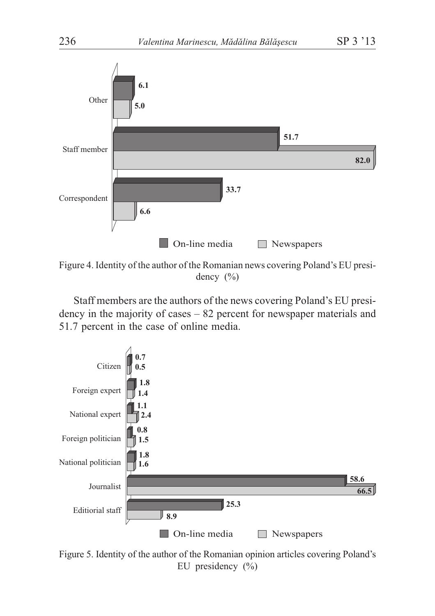

Figure 4. Identity of the author of the Romanian news covering Poland's EU presidency (%)

Staff members are the authors of the news covering Poland's EU presidency in the majority of cases – 82 percent for newspaper materials and 51.7 percent in the case of online media.



Figure 5. Identity of the author of the Romanian opinion articles covering Poland's EU presidency (%)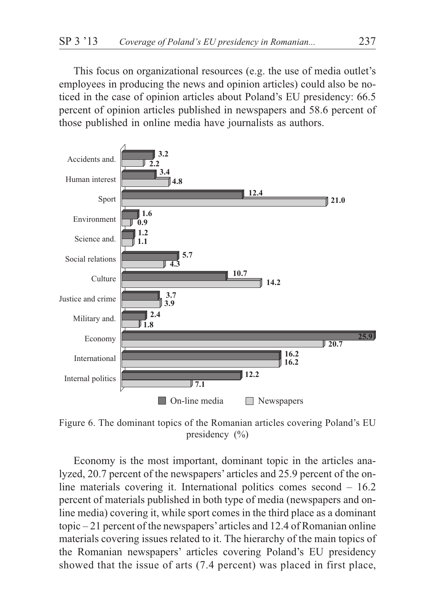This focus on organizational resources (e.g. the use of media outlet's employees in producing the news and opinion articles) could also be noticed in the case of opinion articles about Poland's EU presidency: 66.5 percent of opinion articles published in newspapers and 58.6 percent of those published in online media have journalists as authors.



Figure 6. The dominant topics of the Romanian articles covering Poland's EU presidency (%)

Economy is the most important, dominant topic in the articles analyzed, 20.7 percent of the newspapers' articles and 25.9 percent of the online materials covering it. International politics comes second – 16.2 percent of materials published in both type of media (newspapers and online media) covering it, while sport comes in the third place as a dominant topic – 21 percent of the newspapers'articles and 12.4 of Romanian online materials covering issues related to it. The hierarchy of the main topics of the Romanian newspapers' articles covering Poland's EU presidency showed that the issue of arts (7.4 percent) was placed in first place,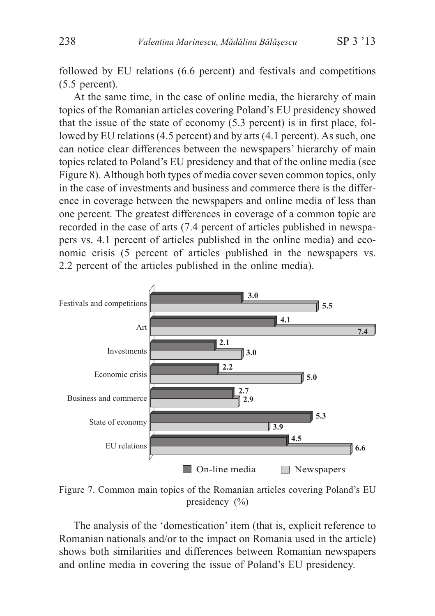followed by EU relations (6.6 percent) and festivals and competitions (5.5 percent).

At the same time, in the case of online media, the hierarchy of main topics of the Romanian articles covering Poland's EU presidency showed that the issue of the state of economy (5.3 percent) is in first place, followed by EU relations (4.5 percent) and by arts (4.1 percent). As such, one can notice clear differences between the newspapers' hierarchy of main topics related to Poland's EU presidency and that of the online media (see Figure 8). Although both types of media cover seven common topics, only in the case of investments and business and commerce there is the difference in coverage between the newspapers and online media of less than one percent. The greatest differences in coverage of a common topic are recorded in the case of arts (7.4 percent of articles published in newspapers vs. 4.1 percent of articles published in the online media) and economic crisis (5 percent of articles published in the newspapers vs. 2.2 percent of the articles published in the online media).



Figure 7. Common main topics of the Romanian articles covering Poland's EU presidency (%)

The analysis of the 'domestication' item (that is, explicit reference to Romanian nationals and/or to the impact on Romania used in the article) shows both similarities and differences between Romanian newspapers and online media in covering the issue of Poland's EU presidency.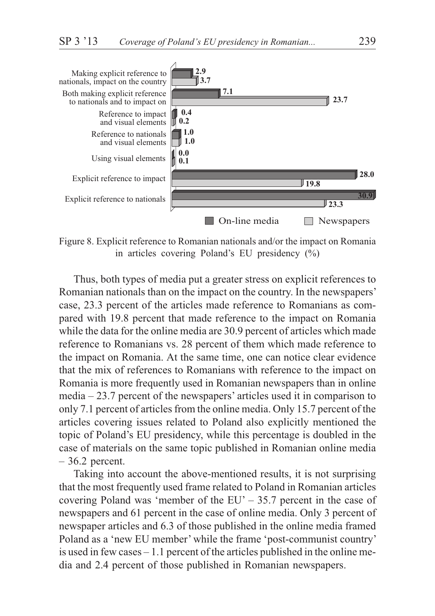

Figure 8. Explicit reference to Romanian nationals and/or the impact on Romania in articles covering Poland's EU presidency (%)

Thus, both types of media put a greater stress on explicit references to Romanian nationals than on the impact on the country. In the newspapers' case, 23.3 percent of the articles made reference to Romanians as compared with 19.8 percent that made reference to the impact on Romania while the data for the online media are 30.9 percent of articles which made reference to Romanians vs. 28 percent of them which made reference to the impact on Romania. At the same time, one can notice clear evidence that the mix of references to Romanians with reference to the impact on Romania is more frequently used in Romanian newspapers than in online media – 23.7 percent of the newspapers' articles used it in comparison to only 7.1 percent of articles from the online media. Only 15.7 percent of the articles covering issues related to Poland also explicitly mentioned the topic of Poland's EU presidency, while this percentage is doubled in the case of materials on the same topic published in Romanian online media – 36.2 percent.

Taking into account the above-mentioned results, it is not surprising that the most frequently used frame related to Poland in Romanian articles covering Poland was 'member of the EU' – 35.7 percent in the case of newspapers and 61 percent in the case of online media. Only 3 percent of newspaper articles and 6.3 of those published in the online media framed Poland as a 'new EU member' while the frame 'post-communist country' is used in few cases – 1.1 percent of the articles published in the online media and 2.4 percent of those published in Romanian newspapers.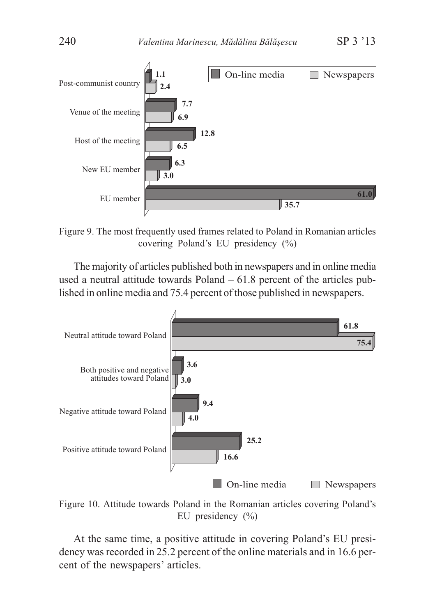

Figure 9. The most frequently used frames related to Poland in Romanian articles covering Poland's EU presidency (%)

The majority of articles published both in newspapers and in online media used a neutral attitude towards Poland – 61.8 percent of the articles published in online media and 75.4 percent of those published in newspapers.



Figure 10. Attitude towards Poland in the Romanian articles covering Poland's EU presidency (%)

At the same time, a positive attitude in covering Poland's EU presidency was recorded in 25.2 percent of the online materials and in 16.6 percent of the newspapers' articles.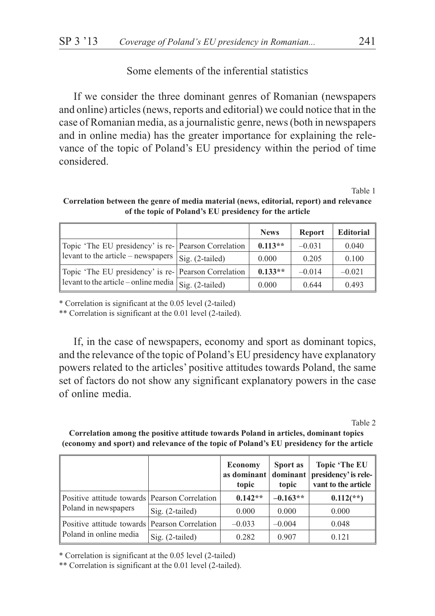# Some elements of the inferential statistics

If we consider the three dominant genres of Romanian (newspapers and online) articles (news, reports and editorial) we could notice that in the case of Romanian media, as a journalistic genre, news (both in newspapers and in online media) has the greater importance for explaining the relevance of the topic of Poland's EU presidency within the period of time considered.

Table 1

|                                                                                                                     |                   | <b>News</b> | <b>Report</b> | <b>Editorial</b> |
|---------------------------------------------------------------------------------------------------------------------|-------------------|-------------|---------------|------------------|
| Topic 'The EU presidency' is re- Pearson Correlation<br>$\parallel$ levant to the article – newspapers              |                   | $0.113**$   | $-0.031$      | 0.040            |
|                                                                                                                     | $Sig. (2-tailed)$ | 0.000       | 0.205         | 0.100            |
| Topic 'The EU presidency' is re- Pearson Correlation<br>levant to the article – online media $\int$ Sig. (2-tailed) |                   | $0.133**$   | $-0.014$      | $-0.021$         |
|                                                                                                                     |                   | 0.000       | 0.644         | 0.493            |

**Correlation between the genre of media material (news, editorial, report) and relevance of the topic of Poland's EU presidency for the article**

\* Correlation is significant at the 0.05 level (2-tailed)

\*\* Correlation is significant at the 0.01 level (2-tailed).

If, in the case of newspapers, economy and sport as dominant topics, and the relevance of the topic of Poland's EU presidency have explanatory powers related to the articles' positive attitudes towards Poland, the same set of factors do not show any significant explanatory powers in the case of online media.

Table 2

**Correlation among the positive attitude towards Poland in articles, dominant topics (economy and sport) and relevance of the topic of Poland's EU presidency for the article**

|                                                                         |                   | Economy<br>as dominant   dominant  <br>topic | Sport as<br>topic | Topic 'The EU<br>presidency' is rele-<br>vant to the article |
|-------------------------------------------------------------------------|-------------------|----------------------------------------------|-------------------|--------------------------------------------------------------|
| Positive attitude towards Pearson Correlation<br>Poland in newspapers   |                   | $0.142**$                                    | $-0.163**$        | $0.112$ <sup>**</sup> )                                      |
|                                                                         | $Sig. (2-tailed)$ | 0.000                                        | 0.000             | 0.000                                                        |
| Positive attitude towards Pearson Correlation<br>Poland in online media |                   | $-0.033$                                     | $-0.004$          | 0.048                                                        |
|                                                                         | $Sig. (2-tailed)$ | 0.282                                        | 0.907             | 0.121                                                        |

\* Correlation is significant at the 0.05 level (2-tailed)

\*\* Correlation is significant at the 0.01 level (2-tailed).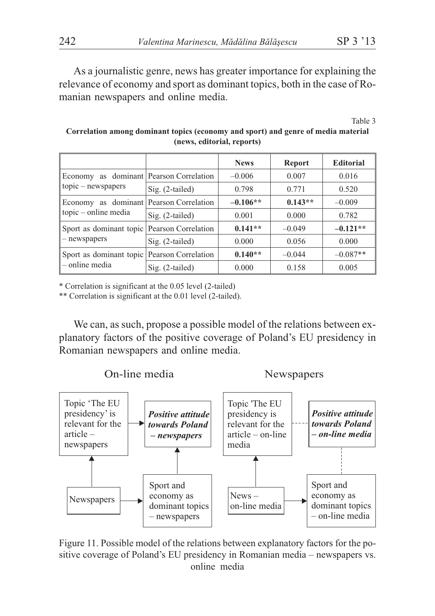As a journalistic genre, news has greater importance for explaining the relevance of economy and sport as dominant topics, both in the case of Romanian newspapers and online media.

Table 3

|                                                  |                                 | <b>News</b> | <b>Report</b> | <b>Editorial</b> |
|--------------------------------------------------|---------------------------------|-------------|---------------|------------------|
| Economy<br>$topic$ – newspapers                  | as dominant Pearson Correlation | $-0.006$    | 0.007         | 0.016            |
|                                                  | $Sig. (2-tailed)$               | 0.798       | 0.771         | 0.520            |
| as dominant<br>Economy<br>$topic - online media$ | Pearson Correlation             | $-0.106**$  | $0.143**$     | $-0.009$         |
|                                                  | $Sig. (2-tailed)$               | 0.001       | 0.000         | 0.782            |
| Sport as dominant topic<br>- newspapers          | Pearson Correlation             | $0.141**$   | $-0.049$      | $-0.121**$       |
|                                                  | Sig. (2-tailed)                 | 0.000       | 0.056         | 0.000            |
| Sport as dominant topic<br>- online media        | Pearson Correlation             | $0.140**$   | $-0.044$      | $-0.087**$       |
|                                                  | $Sig. (2-tailed)$               | 0.000       | 0.158         | 0.005            |

**Correlation among dominant topics (economy and sport) and genre of media material (news, editorial, reports)**

\* Correlation is significant at the 0.05 level (2-tailed)

\*\* Correlation is significant at the 0.01 level (2-tailed).

We can, as such, propose a possible model of the relations between explanatory factors of the positive coverage of Poland's EU presidency in Romanian newspapers and online media.



Figure 11. Possible model of the relations between explanatory factors for the positive coverage of Poland's EU presidency in Romanian media – newspapers vs. online media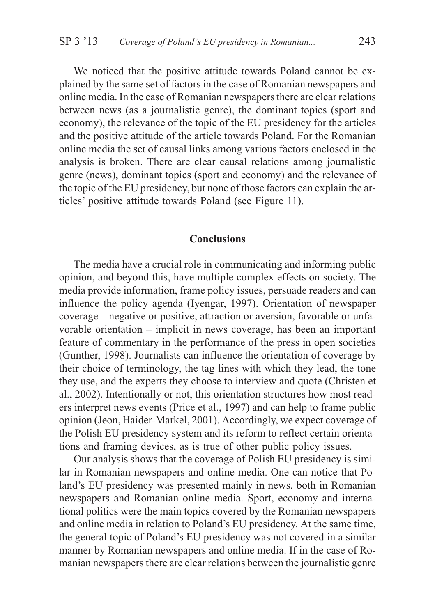We noticed that the positive attitude towards Poland cannot be explained by the same set of factors in the case of Romanian newspapers and online media. In the case of Romanian newspapers there are clear relations between news (as a journalistic genre), the dominant topics (sport and economy), the relevance of the topic of the EU presidency for the articles and the positive attitude of the article towards Poland. For the Romanian online media the set of causal links among various factors enclosed in the analysis is broken. There are clear causal relations among journalistic genre (news), dominant topics (sport and economy) and the relevance of the topic of the EU presidency, but none of those factors can explain the articles' positive attitude towards Poland (see Figure 11).

### **Conclusions**

The media have a crucial role in communicating and informing public opinion, and beyond this, have multiple complex effects on society. The media provide information, frame policy issues, persuade readers and can influence the policy agenda (Iyengar, 1997). Orientation of newspaper coverage – negative or positive, attraction or aversion, favorable or unfavorable orientation – implicit in news coverage, has been an important feature of commentary in the performance of the press in open societies (Gunther, 1998). Journalists can influence the orientation of coverage by their choice of terminology, the tag lines with which they lead, the tone they use, and the experts they choose to interview and quote (Christen et al., 2002). Intentionally or not, this orientation structures how most readers interpret news events (Price et al., 1997) and can help to frame public opinion (Jeon, Haider-Markel, 2001). Accordingly, we expect coverage of the Polish EU presidency system and its reform to reflect certain orientations and framing devices, as is true of other public policy issues.

Our analysis shows that the coverage of Polish EU presidency is similar in Romanian newspapers and online media. One can notice that Poland's EU presidency was presented mainly in news, both in Romanian newspapers and Romanian online media. Sport, economy and international politics were the main topics covered by the Romanian newspapers and online media in relation to Poland's EU presidency. At the same time, the general topic of Poland's EU presidency was not covered in a similar manner by Romanian newspapers and online media. If in the case of Romanian newspapers there are clear relations between the journalistic genre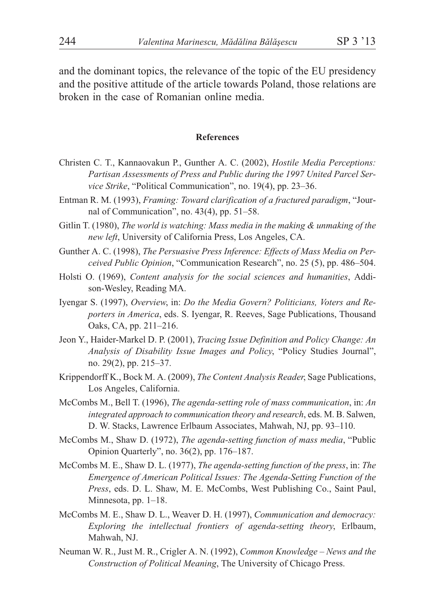and the dominant topics, the relevance of the topic of the EU presidency and the positive attitude of the article towards Poland, those relations are broken in the case of Romanian online media.

#### **References**

- Christen C. T., Kannaovakun P., Gunther A. C. (2002), *Hostile Media Perceptions: Partisan Assessments of Press and Public during the 1997 United Parcel Service Strike*, "Political Communication", no. 19(4), pp. 23–36.
- Entman R. M. (1993), *Framing: Toward clarification of a fractured paradigm*, "Journal of Communication", no. 43(4), pp. 51–58.
- Gitlin T. (1980), *The world is watching: Mass media in the making & unmaking of the new left*, University of California Press, Los Angeles, CA.
- Gunther A. C. (1998), *The Persuasive Press Inference: Effects of Mass Media on Perceived Public Opinion*, "Communication Research", no. 25 (5), pp. 486–504.
- Holsti O. (1969), *Content analysis for the social sciences and humanities*, Addison-Wesley, Reading MA.
- Iyengar S. (1997), *Overview*, in: *Do the Media Govern? Politicians, Voters and Reporters in America*, eds. S. Iyengar, R. Reeves, Sage Publications, Thousand Oaks, CA, pp. 211–216.
- Jeon Y., Haider-Markel D. P. (2001), *Tracing Issue Definition and Policy Change: An Analysis of Disability Issue Images and Policy*, "Policy Studies Journal", no. 29(2), pp. 215–37.
- Krippendorff K., Bock M. A. (2009), *The Content Analysis Reader*, Sage Publications, Los Angeles, California.
- McCombs M., Bell T. (1996), *The agenda-setting role of mass communication*, in: *An integrated approach to communication theory and research*, eds. M. B. Salwen, D. W. Stacks, Lawrence Erlbaum Associates, Mahwah, NJ, pp. 93–110.
- McCombs M., Shaw D. (1972), *The agenda-setting function of mass media*, "Public Opinion Quarterly", no. 36(2), pp. 176–187.
- McCombs M. E., Shaw D. L. (1977), *The agenda-setting function of the press*, in: *The Emergence of American Political Issues: The Agenda-Setting Function of the Press*, eds. D. L. Shaw, M. E. McCombs, West Publishing Co., Saint Paul, Minnesota, pp. 1–18.
- McCombs M. E., Shaw D. L., Weaver D. H. (1997), *Communication and democracy: Exploring the intellectual frontiers of agenda-setting theory*, Erlbaum, Mahwah, NJ.
- Neuman W. R., Just M. R., Crigler A. N. (1992), *Common Knowledge News and the Construction of Political Meaning*, The University of Chicago Press.